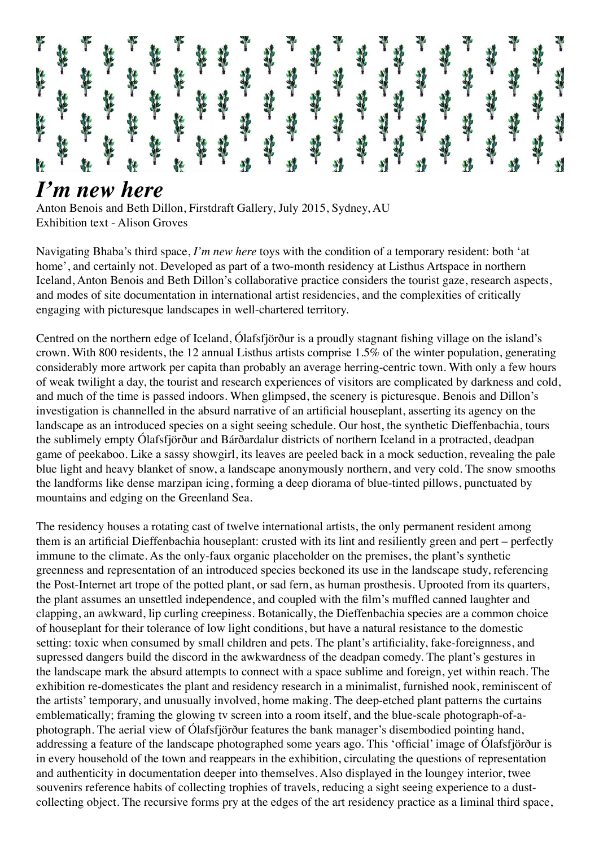

## *I'm new here*

Anton Benois and Beth Dillon, Firstdraft Gallery, July 2015, Sydney, AU Exhibition text - Alison Groves

Navigating Bhaba's third space, *I'm new here* toys with the condition of a temporary resident: both 'at home', and certainly not. Developed as part of a two-month residency at Listhus Artspace in northern Iceland, Anton Benois and Beth Dillon's collaborative practice considers the tourist gaze, research aspects, and modes of site documentation in international artist residencies, and the complexities of critically engaging with picturesque landscapes in well-chartered territory.

Centred on the northern edge of Iceland, Ólafsfjörður is a proudly stagnant fishing village on the island's crown. With 800 residents, the 12 annual Listhus artists comprise 1.5% of the winter population, generating considerably more artwork per capita than probably an average herring-centric town. With only a few hours of weak twilight a day, the tourist and research experiences of visitors are complicated by darkness and cold, and much of the time is passed indoors. When glimpsed, the scenery is picturesque. Benois and Dillon's investigation is channelled in the absurd narrative of an artificial houseplant, asserting its agency on the landscape as an introduced species on a sight seeing schedule. Our host, the synthetic Dieffenbachia, tours the sublimely empty Ólafsfjörður and Bárðardalur districts of northern Iceland in a protracted, deadpan game of peekaboo. Like a sassy showgirl, its leaves are peeled back in a mock seduction, revealing the pale blue light and heavy blanket of snow, a landscape anonymously northern, and very cold. The snow smooths the landforms like dense marzipan icing, forming a deep diorama of blue-tinted pillows, punctuated by mountains and edging on the Greenland Sea.

The residency houses a rotating cast of twelve international artists, the only permanent resident among them is an artificial Dieffenbachia houseplant: crusted with its lint and resiliently green and pert – perfectly immune to the climate. As the only-faux organic placeholder on the premises, the plant's synthetic greenness and representation of an introduced species beckoned its use in the landscape study, referencing the Post-Internet art trope of the potted plant, or sad fern, as human prosthesis. Uprooted from its quarters, the plant assumes an unsettled independence, and coupled with the film's muffled canned laughter and clapping, an awkward, lip curling creepiness. Botanically, the Dieffenbachia species are a common choice of houseplant for their tolerance of low light conditions, but have a natural resistance to the domestic setting: toxic when consumed by small children and pets. The plant's artificiality, fake-foreignness, and supressed dangers build the discord in the awkwardness of the deadpan comedy. The plant's gestures in the landscape mark the absurd attempts to connect with a space sublime and foreign, yet within reach. The exhibition re-domesticates the plant and residency research in a minimalist, furnished nook, reminiscent of the artists' temporary, and unusually involved, home making. The deep-etched plant patterns the curtains emblematically; framing the glowing tv screen into a room itself, and the blue-scale photograph-of-aphotograph. The aerial view of Ólafsfjörður features the bank manager's disembodied pointing hand, addressing a feature of the landscape photographed some years ago. This 'official' image of Ólafsfjörður is in every household of the town and reappears in the exhibition, circulating the questions of representation and authenticity in documentation deeper into themselves. Also displayed in the loungey interior, twee souvenirs reference habits of collecting trophies of travels, reducing a sight seeing experience to a dustcollecting object. The recursive forms pry at the edges of the art residency practice as a liminal third space,